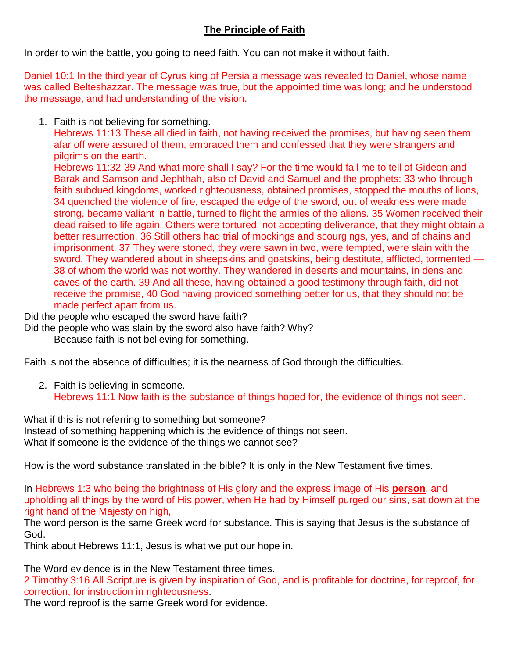## **The Principle of Faith**

In order to win the battle, you going to need faith. You can not make it without faith.

Daniel 10:1 In the third year of Cyrus king of Persia a message was revealed to Daniel, whose name was called Belteshazzar. The message was true, but the appointed time was long; and he understood the message, and had understanding of the vision.

1. Faith is not believing for something.

Hebrews 11:13 These all died in faith, not having received the promises, but having seen them afar off were assured of them, embraced them and confessed that they were strangers and pilgrims on the earth.

Hebrews 11:32-39 And what more shall I say? For the time would fail me to tell of Gideon and Barak and Samson and Jephthah, also of David and Samuel and the prophets: 33 who through faith subdued kingdoms, worked righteousness, obtained promises, stopped the mouths of lions, 34 quenched the violence of fire, escaped the edge of the sword, out of weakness were made strong, became valiant in battle, turned to flight the armies of the aliens. 35 Women received their dead raised to life again. Others were tortured, not accepting deliverance, that they might obtain a better resurrection. 36 Still others had trial of mockings and scourgings, yes, and of chains and imprisonment. 37 They were stoned, they were sawn in two, were tempted, were slain with the sword. They wandered about in sheepskins and goatskins, being destitute, afflicted, tormented — 38 of whom the world was not worthy. They wandered in deserts and mountains, in dens and caves of the earth. 39 And all these, having obtained a good testimony through faith, did not receive the promise, 40 God having provided something better for us, that they should not be made perfect apart from us.

Did the people who escaped the sword have faith?

Did the people who was slain by the sword also have faith? Why?

Because faith is not believing for something.

Faith is not the absence of difficulties; it is the nearness of God through the difficulties.

2. Faith is believing in someone. Hebrews 11:1 Now faith is the substance of things hoped for, the evidence of things not seen.

What if this is not referring to something but someone? Instead of something happening which is the evidence of things not seen. What if someone is the evidence of the things we cannot see?

How is the word substance translated in the bible? It is only in the New Testament five times.

In Hebrews 1:3 who being the brightness of His glory and the express image of His **person**, and upholding all things by the word of His power, when He had by Himself purged our sins, sat down at the right hand of the Majesty on high,

The word person is the same Greek word for substance. This is saying that Jesus is the substance of God.

Think about Hebrews 11:1, Jesus is what we put our hope in.

The Word evidence is in the New Testament three times.

2 Timothy 3:16 All Scripture is given by inspiration of God, and is profitable for doctrine, for reproof, for correction, for instruction in righteousness.

The word reproof is the same Greek word for evidence.